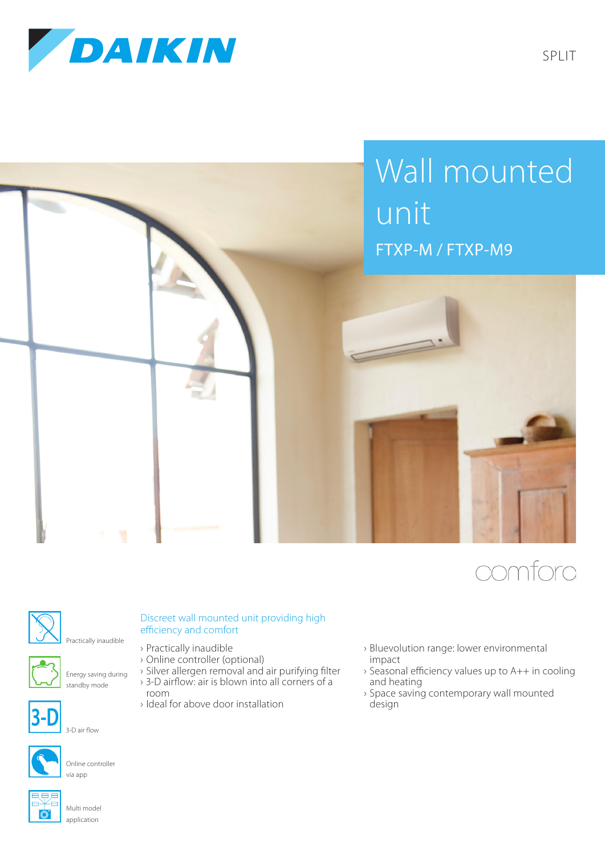

## Wall mounted unit FTXP-M / FTXP-M9







Practically inaudible efficiency and comfort



3-D air flow

## Discreet wall mounted unit providing high

- › Practically inaudible
- › Online controller (optional)
- › Silver allergen removal and air purifying filter
- › 3-D airflow: air is blown into all corners of a room
- › Ideal for above door installation
- › Bluevolution range: lower environmental impact
- › Seasonal efficiency values up to A++ in cooling and heating
- › Space saving contemporary wall mounted design



Online controller via app



Multi model application